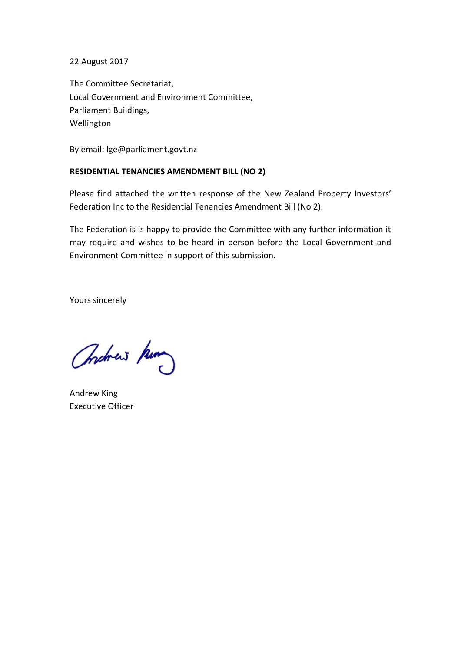22 August 2017

The Committee Secretariat, Local Government and Environment Committee, Parliament Buildings, Wellington

By email: lge@parliament.govt.nz

#### **RESIDENTIAL TENANCIES AMENDMENT BILL (NO 2)**

Please find attached the written response of the New Zealand Property Investors' Federation Inc to the Residential Tenancies Amendment Bill (No 2).

The Federation is is happy to provide the Committee with any further information it may require and wishes to be heard in person before the Local Government and Environment Committee in support of this submission.

Yours sincerely

Christmas hum

Andrew King Executive Officer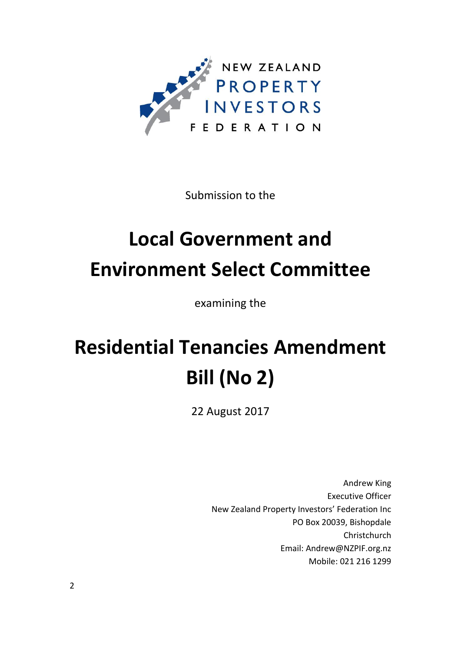

Submission to the

# **Local Government and Environment Select Committee**

examining the

# **Residential Tenancies Amendment Bill (No 2)**

22 August 2017

Andrew King Executive Officer New Zealand Property Investors' Federation Inc PO Box 20039, Bishopdale Christchurch Email: Andrew@NZPIF.org.nz Mobile: 021 216 1299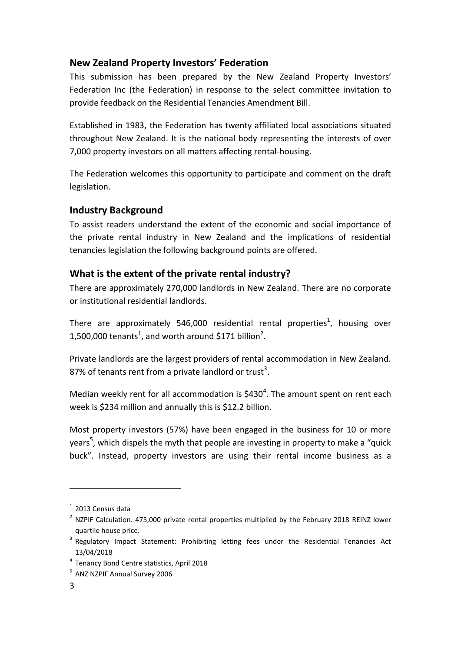# **New Zealand Property Investors' Federation**

This submission has been prepared by the New Zealand Property Investors' Federation Inc (the Federation) in response to the select committee invitation to provide feedback on the Residential Tenancies Amendment Bill.

Established in 1983, the Federation has twenty affiliated local associations situated throughout New Zealand. It is the national body representing the interests of over 7,000 property investors on all matters affecting rental-housing.

The Federation welcomes this opportunity to participate and comment on the draft legislation.

## **Industry Background**

To assist readers understand the extent of the economic and social importance of the private rental industry in New Zealand and the implications of residential tenancies legislation the following background points are offered.

# **What is the extent of the private rental industry?**

There are approximately 270,000 landlords in New Zealand. There are no corporate or institutional residential landlords.

There are approximately 546,000 residential rental properties<sup>1</sup>, housing over 1,500,000 tenants<sup>1</sup>, and worth around \$171 billion<sup>2</sup>.

Private landlords are the largest providers of rental accommodation in New Zealand. 87% of tenants rent from a private landlord or trust<sup>3</sup>.

Median weekly rent for all accommodation is  $$430<sup>4</sup>$ . The amount spent on rent each week is \$234 million and annually this is \$12.2 billion.

Most property investors (57%) have been engaged in the business for 10 or more years<sup>5</sup>, which dispels the myth that people are investing in property to make a "quick buck". Instead, property investors are using their rental income business as a

-

 $1$  2013 Census data

 $2$  NZPIF Calculation. 475,000 private rental properties multiplied by the February 2018 REINZ lower quartile house price.

<sup>&</sup>lt;sup>3</sup> Regulatory Impact Statement: Prohibiting letting fees under the Residential Tenancies Act 13/04/2018

<sup>4</sup> Tenancy Bond Centre statistics, April 2018

<sup>5</sup> ANZ NZPIF Annual Survey 2006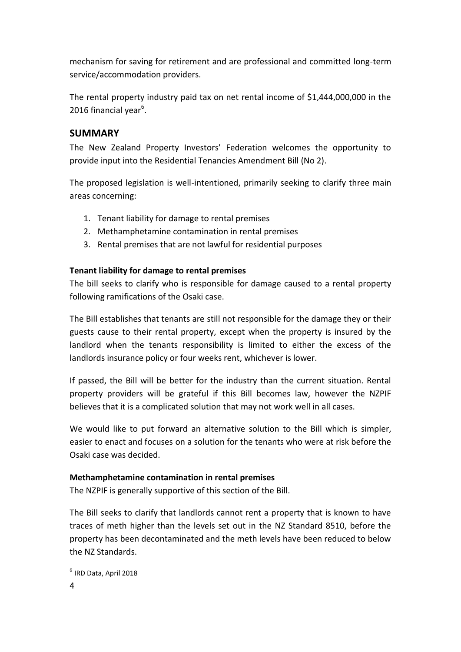mechanism for saving for retirement and are professional and committed long-term service/accommodation providers.

The rental property industry paid tax on net rental income of \$1,444,000,000 in the 2016 financial year<sup>6</sup>.

### **SUMMARY**

The New Zealand Property Investors' Federation welcomes the opportunity to provide input into the Residential Tenancies Amendment Bill (No 2).

The proposed legislation is well-intentioned, primarily seeking to clarify three main areas concerning:

- 1. Tenant liability for damage to rental premises
- 2. Methamphetamine contamination in rental premises
- 3. Rental premises that are not lawful for residential purposes

#### **Tenant liability for damage to rental premises**

The bill seeks to clarify who is responsible for damage caused to a rental property following ramifications of the Osaki case.

The Bill establishes that tenants are still not responsible for the damage they or their guests cause to their rental property, except when the property is insured by the landlord when the tenants responsibility is limited to either the excess of the landlords insurance policy or four weeks rent, whichever is lower.

If passed, the Bill will be better for the industry than the current situation. Rental property providers will be grateful if this Bill becomes law, however the NZPIF believes that it is a complicated solution that may not work well in all cases.

We would like to put forward an alternative solution to the Bill which is simpler, easier to enact and focuses on a solution for the tenants who were at risk before the Osaki case was decided.

#### **Methamphetamine contamination in rental premises**

The NZPIF is generally supportive of this section of the Bill.

The Bill seeks to clarify that landlords cannot rent a property that is known to have traces of meth higher than the levels set out in the NZ Standard 8510, before the property has been decontaminated and the meth levels have been reduced to below the NZ Standards.

```
4
6
IRD Data, April 2018
```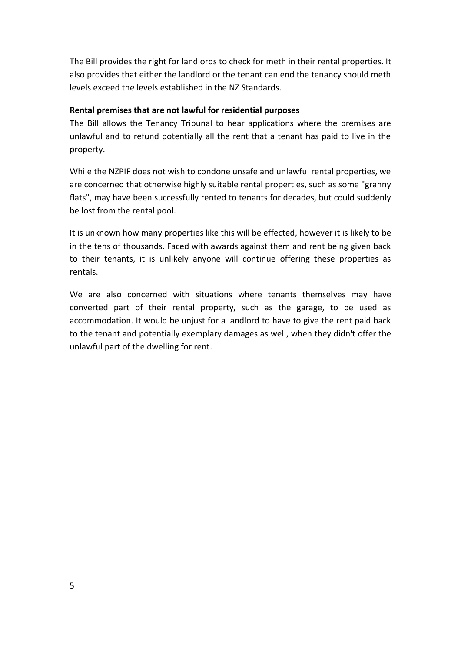The Bill provides the right for landlords to check for meth in their rental properties. It also provides that either the landlord or the tenant can end the tenancy should meth levels exceed the levels established in the NZ Standards.

#### **Rental premises that are not lawful for residential purposes**

The Bill allows the Tenancy Tribunal to hear applications where the premises are unlawful and to refund potentially all the rent that a tenant has paid to live in the property.

While the NZPIF does not wish to condone unsafe and unlawful rental properties, we are concerned that otherwise highly suitable rental properties, such as some "granny flats", may have been successfully rented to tenants for decades, but could suddenly be lost from the rental pool.

It is unknown how many properties like this will be effected, however it is likely to be in the tens of thousands. Faced with awards against them and rent being given back to their tenants, it is unlikely anyone will continue offering these properties as rentals.

We are also concerned with situations where tenants themselves may have converted part of their rental property, such as the garage, to be used as accommodation. It would be unjust for a landlord to have to give the rent paid back to the tenant and potentially exemplary damages as well, when they didn't offer the unlawful part of the dwelling for rent.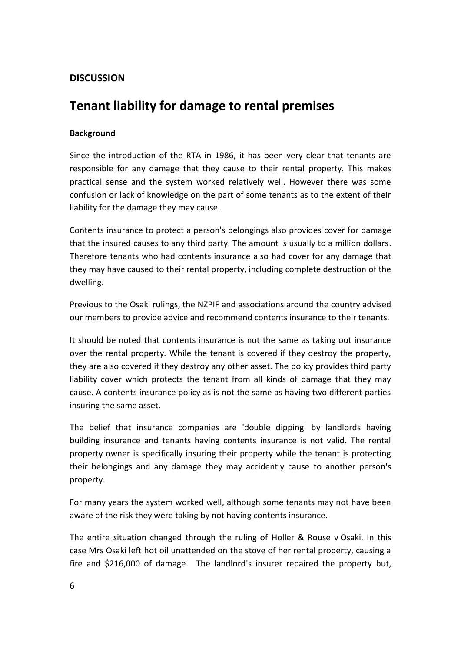# **DISCUSSION**

# **Tenant liability for damage to rental premises**

#### **Background**

Since the introduction of the RTA in 1986, it has been very clear that tenants are responsible for any damage that they cause to their rental property. This makes practical sense and the system worked relatively well. However there was some confusion or lack of knowledge on the part of some tenants as to the extent of their liability for the damage they may cause.

Contents insurance to protect a person's belongings also provides cover for damage that the insured causes to any third party. The amount is usually to a million dollars. Therefore tenants who had contents insurance also had cover for any damage that they may have caused to their rental property, including complete destruction of the dwelling.

Previous to the Osaki rulings, the NZPIF and associations around the country advised our members to provide advice and recommend contents insurance to their tenants.

It should be noted that contents insurance is not the same as taking out insurance over the rental property. While the tenant is covered if they destroy the property, they are also covered if they destroy any other asset. The policy provides third party liability cover which protects the tenant from all kinds of damage that they may cause. A contents insurance policy as is not the same as having two different parties insuring the same asset.

The belief that insurance companies are 'double dipping' by landlords having building insurance and tenants having contents insurance is not valid. The rental property owner is specifically insuring their property while the tenant is protecting their belongings and any damage they may accidently cause to another person's property.

For many years the system worked well, although some tenants may not have been aware of the risk they were taking by not having contents insurance.

The entire situation changed through the ruling of Holler & Rouse v Osaki. In this case Mrs Osaki left hot oil unattended on the stove of her rental property, causing a fire and \$216,000 of damage. The landlord's insurer repaired the property but,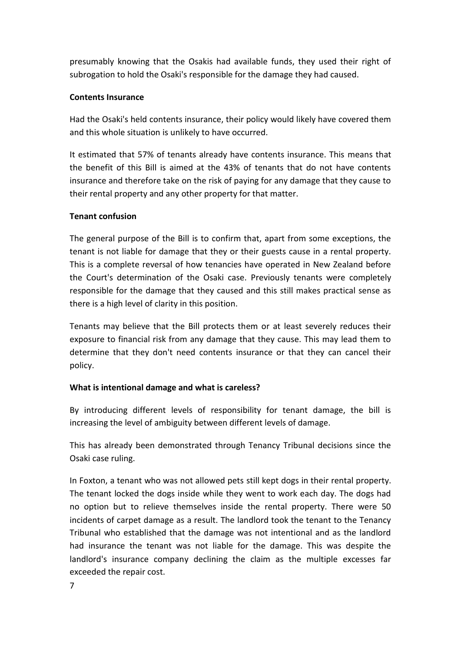presumably knowing that the Osakis had available funds, they used their right of subrogation to hold the Osaki's responsible for the damage they had caused.

#### **Contents Insurance**

Had the Osaki's held contents insurance, their policy would likely have covered them and this whole situation is unlikely to have occurred.

It estimated that 57% of tenants already have contents insurance. This means that the benefit of this Bill is aimed at the 43% of tenants that do not have contents insurance and therefore take on the risk of paying for any damage that they cause to their rental property and any other property for that matter.

#### **Tenant confusion**

The general purpose of the Bill is to confirm that, apart from some exceptions, the tenant is not liable for damage that they or their guests cause in a rental property. This is a complete reversal of how tenancies have operated in New Zealand before the Court's determination of the Osaki case. Previously tenants were completely responsible for the damage that they caused and this still makes practical sense as there is a high level of clarity in this position.

Tenants may believe that the Bill protects them or at least severely reduces their exposure to financial risk from any damage that they cause. This may lead them to determine that they don't need contents insurance or that they can cancel their policy.

#### **What is intentional damage and what is careless?**

By introducing different levels of responsibility for tenant damage, the bill is increasing the level of ambiguity between different levels of damage.

This has already been demonstrated through Tenancy Tribunal decisions since the Osaki case ruling.

In Foxton, a tenant who was not allowed pets still kept dogs in their rental property. The tenant locked the dogs inside while they went to work each day. The dogs had no option but to relieve themselves inside the rental property. There were 50 incidents of carpet damage as a result. The landlord took the tenant to the Tenancy Tribunal who established that the damage was not intentional and as the landlord had insurance the tenant was not liable for the damage. This was despite the landlord's insurance company declining the claim as the multiple excesses far exceeded the repair cost.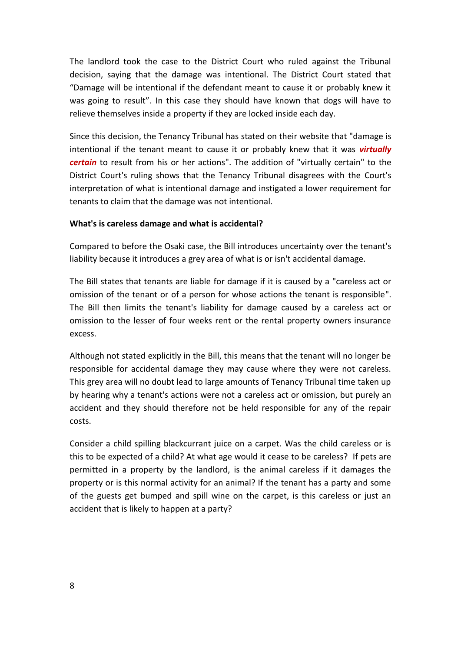The landlord took the case to the District Court who ruled against the Tribunal decision, saying that the damage was intentional. The District Court stated that "Damage will be intentional if the defendant meant to cause it or probably knew it was going to result". In this case they should have known that dogs will have to relieve themselves inside a property if they are locked inside each day.

Since this decision, the Tenancy Tribunal has stated on their website that "damage is intentional if the tenant meant to cause it or probably knew that it was *virtually certain* to result from his or her actions". The addition of "virtually certain" to the District Court's ruling shows that the Tenancy Tribunal disagrees with the Court's interpretation of what is intentional damage and instigated a lower requirement for tenants to claim that the damage was not intentional.

#### **What's is careless damage and what is accidental?**

Compared to before the Osaki case, the Bill introduces uncertainty over the tenant's liability because it introduces a grey area of what is or isn't accidental damage.

The Bill states that tenants are liable for damage if it is caused by a "careless act or omission of the tenant or of a person for whose actions the tenant is responsible". The Bill then limits the tenant's liability for damage caused by a careless act or omission to the lesser of four weeks rent or the rental property owners insurance excess.

Although not stated explicitly in the Bill, this means that the tenant will no longer be responsible for accidental damage they may cause where they were not careless. This grey area will no doubt lead to large amounts of Tenancy Tribunal time taken up by hearing why a tenant's actions were not a careless act or omission, but purely an accident and they should therefore not be held responsible for any of the repair costs.

Consider a child spilling blackcurrant juice on a carpet. Was the child careless or is this to be expected of a child? At what age would it cease to be careless? If pets are permitted in a property by the landlord, is the animal careless if it damages the property or is this normal activity for an animal? If the tenant has a party and some of the guests get bumped and spill wine on the carpet, is this careless or just an accident that is likely to happen at a party?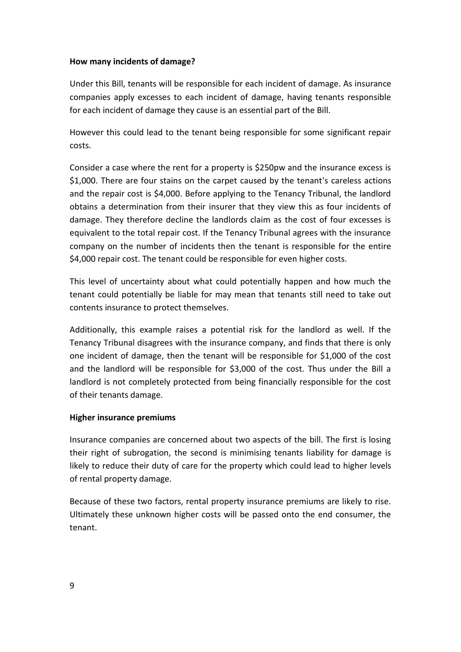#### **How many incidents of damage?**

Under this Bill, tenants will be responsible for each incident of damage. As insurance companies apply excesses to each incident of damage, having tenants responsible for each incident of damage they cause is an essential part of the Bill.

However this could lead to the tenant being responsible for some significant repair costs.

Consider a case where the rent for a property is \$250pw and the insurance excess is \$1,000. There are four stains on the carpet caused by the tenant's careless actions and the repair cost is \$4,000. Before applying to the Tenancy Tribunal, the landlord obtains a determination from their insurer that they view this as four incidents of damage. They therefore decline the landlords claim as the cost of four excesses is equivalent to the total repair cost. If the Tenancy Tribunal agrees with the insurance company on the number of incidents then the tenant is responsible for the entire \$4,000 repair cost. The tenant could be responsible for even higher costs.

This level of uncertainty about what could potentially happen and how much the tenant could potentially be liable for may mean that tenants still need to take out contents insurance to protect themselves.

Additionally, this example raises a potential risk for the landlord as well. If the Tenancy Tribunal disagrees with the insurance company, and finds that there is only one incident of damage, then the tenant will be responsible for \$1,000 of the cost and the landlord will be responsible for \$3,000 of the cost. Thus under the Bill a landlord is not completely protected from being financially responsible for the cost of their tenants damage.

#### **Higher insurance premiums**

Insurance companies are concerned about two aspects of the bill. The first is losing their right of subrogation, the second is minimising tenants liability for damage is likely to reduce their duty of care for the property which could lead to higher levels of rental property damage.

Because of these two factors, rental property insurance premiums are likely to rise. Ultimately these unknown higher costs will be passed onto the end consumer, the tenant.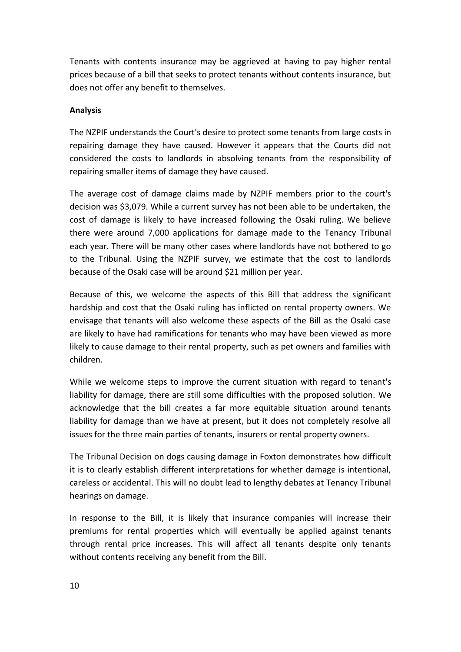Tenants with contents insurance may be aggrieved at having to pay higher rental prices because of a bill that seeks to protect tenants without contents insurance, but does not offer any benefit to themselves.

#### **Analysis**

The NZPIF understands the Court's desire to protect some tenants from large costs in repairing damage they have caused. However it appears that the Courts did not considered the costs to landlords in absolving tenants from the responsibility of repairing smaller items of damage they have caused.

The average cost of damage claims made by NZPIF members prior to the court's decision was \$3,079. While a current survey has not been able to be undertaken, the cost of damage is likely to have increased following the Osaki ruling. We believe there were around 7,000 applications for damage made to the Tenancy Tribunal each year. There will be many other cases where landlords have not bothered to go to the Tribunal. Using the NZPIF survey, we estimate that the cost to landlords because of the Osaki case will be around \$21 million per year.

Because of this, we welcome the aspects of this Bill that address the significant hardship and cost that the Osaki ruling has inflicted on rental property owners. We envisage that tenants will also welcome these aspects of the Bill as the Osaki case are likely to have had ramifications for tenants who may have been viewed as more likely to cause damage to their rental property, such as pet owners and families with children.

While we welcome steps to improve the current situation with regard to tenant's liability for damage, there are still some difficulties with the proposed solution. We acknowledge that the bill creates a far more equitable situation around tenants liability for damage than we have at present, but it does not completely resolve all issues for the three main parties of tenants, insurers or rental property owners.

The Tribunal Decision on dogs causing damage in Foxton demonstrates how difficult it is to clearly establish different interpretations for whether damage is intentional, careless or accidental. This will no doubt lead to lengthy debates at Tenancy Tribunal hearings on damage.

In response to the Bill, it is likely that insurance companies will increase their premiums for rental properties which will eventually be applied against tenants through rental price increases. This will affect all tenants despite only tenants without contents receiving any benefit from the Bill.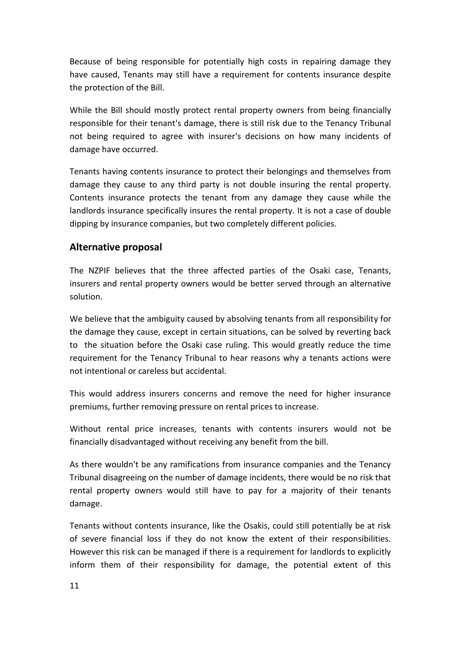Because of being responsible for potentially high costs in repairing damage they have caused, Tenants may still have a requirement for contents insurance despite the protection of the Bill.

While the Bill should mostly protect rental property owners from being financially responsible for their tenant's damage, there is still risk due to the Tenancy Tribunal not being required to agree with insurer's decisions on how many incidents of damage have occurred.

Tenants having contents insurance to protect their belongings and themselves from damage they cause to any third party is not double insuring the rental property. Contents insurance protects the tenant from any damage they cause while the landlords insurance specifically insures the rental property. It is not a case of double dipping by insurance companies, but two completely different policies.

### **Alternative proposal**

The NZPIF believes that the three affected parties of the Osaki case, Tenants, insurers and rental property owners would be better served through an alternative solution.

We believe that the ambiguity caused by absolving tenants from all responsibility for the damage they cause, except in certain situations, can be solved by reverting back to the situation before the Osaki case ruling. This would greatly reduce the time requirement for the Tenancy Tribunal to hear reasons why a tenants actions were not intentional or careless but accidental.

This would address insurers concerns and remove the need for higher insurance premiums, further removing pressure on rental prices to increase.

Without rental price increases, tenants with contents insurers would not be financially disadvantaged without receiving any benefit from the bill.

As there wouldn't be any ramifications from insurance companies and the Tenancy Tribunal disagreeing on the number of damage incidents, there would be no risk that rental property owners would still have to pay for a majority of their tenants damage.

Tenants without contents insurance, like the Osakis, could still potentially be at risk of severe financial loss if they do not know the extent of their responsibilities. However this risk can be managed if there is a requirement for landlords to explicitly inform them of their responsibility for damage, the potential extent of this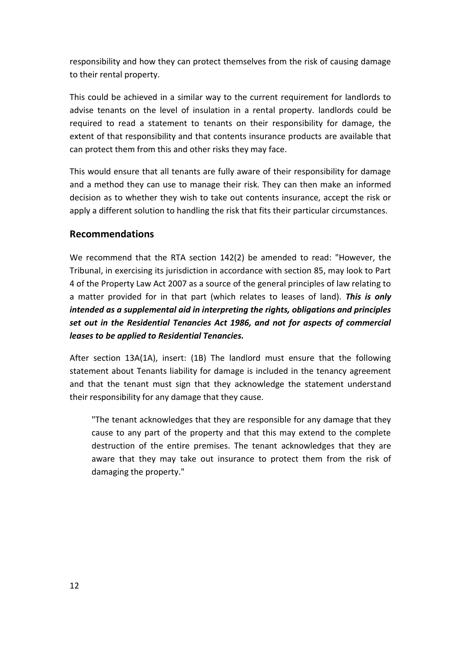responsibility and how they can protect themselves from the risk of causing damage to their rental property.

This could be achieved in a similar way to the current requirement for landlords to advise tenants on the level of insulation in a rental property. landlords could be required to read a statement to tenants on their responsibility for damage, the extent of that responsibility and that contents insurance products are available that can protect them from this and other risks they may face.

This would ensure that all tenants are fully aware of their responsibility for damage and a method they can use to manage their risk. They can then make an informed decision as to whether they wish to take out contents insurance, accept the risk or apply a different solution to handling the risk that fits their particular circumstances.

## **Recommendations**

We recommend that the RTA section 142(2) be amended to read: "However, the Tribunal, in exercising its jurisdiction in accordance with section 85, may look to Part 4 of the Property Law Act 2007 as a source of the general principles of law relating to a matter provided for in that part (which relates to leases of land). *This is only intended as a supplemental aid in interpreting the rights, obligations and principles set out in the Residential Tenancies Act 1986, and not for aspects of commercial leases to be applied to Residential Tenancies.*

After section 13A(1A), insert: (1B) The landlord must ensure that the following statement about Tenants liability for damage is included in the tenancy agreement and that the tenant must sign that they acknowledge the statement understand their responsibility for any damage that they cause.

"The tenant acknowledges that they are responsible for any damage that they cause to any part of the property and that this may extend to the complete destruction of the entire premises. The tenant acknowledges that they are aware that they may take out insurance to protect them from the risk of damaging the property."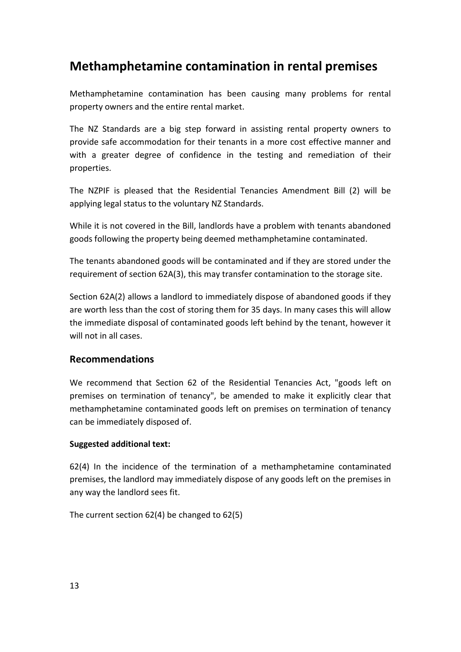# **Methamphetamine contamination in rental premises**

Methamphetamine contamination has been causing many problems for rental property owners and the entire rental market.

The NZ Standards are a big step forward in assisting rental property owners to provide safe accommodation for their tenants in a more cost effective manner and with a greater degree of confidence in the testing and remediation of their properties.

The NZPIF is pleased that the Residential Tenancies Amendment Bill (2) will be applying legal status to the voluntary NZ Standards.

While it is not covered in the Bill, landlords have a problem with tenants abandoned goods following the property being deemed methamphetamine contaminated.

The tenants abandoned goods will be contaminated and if they are stored under the requirement of section 62A(3), this may transfer contamination to the storage site.

Section 62A(2) allows a landlord to immediately dispose of abandoned goods if they are worth less than the cost of storing them for 35 days. In many cases this will allow the immediate disposal of contaminated goods left behind by the tenant, however it will not in all cases.

## **Recommendations**

We recommend that Section 62 of the Residential Tenancies Act, "goods left on premises on termination of tenancy", be amended to make it explicitly clear that methamphetamine contaminated goods left on premises on termination of tenancy can be immediately disposed of.

#### **Suggested additional text:**

62(4) In the incidence of the termination of a methamphetamine contaminated premises, the landlord may immediately dispose of any goods left on the premises in any way the landlord sees fit.

The current section 62(4) be changed to 62(5)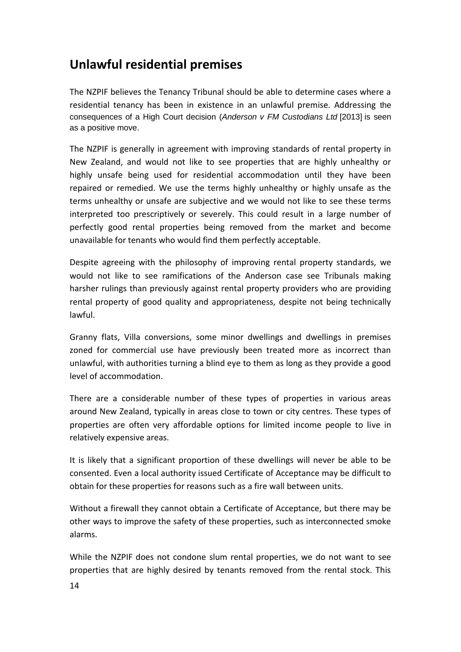# **Unlawful residential premises**

The NZPIF believes the Tenancy Tribunal should be able to determine cases where a residential tenancy has been in existence in an unlawful premise. Addressing the consequences of a High Court decision (*Anderson v FM Custodians Ltd* [2013] is seen as a positive move.

The NZPIF is generally in agreement with improving standards of rental property in New Zealand, and would not like to see properties that are highly unhealthy or highly unsafe being used for residential accommodation until they have been repaired or remedied. We use the terms highly unhealthy or highly unsafe as the terms unhealthy or unsafe are subjective and we would not like to see these terms interpreted too prescriptively or severely. This could result in a large number of perfectly good rental properties being removed from the market and become unavailable for tenants who would find them perfectly acceptable.

Despite agreeing with the philosophy of improving rental property standards, we would not like to see ramifications of the Anderson case see Tribunals making harsher rulings than previously against rental property providers who are providing rental property of good quality and appropriateness, despite not being technically lawful.

Granny flats, Villa conversions, some minor dwellings and dwellings in premises zoned for commercial use have previously been treated more as incorrect than unlawful, with authorities turning a blind eye to them as long as they provide a good level of accommodation.

There are a considerable number of these types of properties in various areas around New Zealand, typically in areas close to town or city centres. These types of properties are often very affordable options for limited income people to live in relatively expensive areas.

It is likely that a significant proportion of these dwellings will never be able to be consented. Even a local authority issued Certificate of Acceptance may be difficult to obtain for these properties for reasons such as a fire wall between units.

Without a firewall they cannot obtain a Certificate of Acceptance, but there may be other ways to improve the safety of these properties, such as interconnected smoke alarms.

While the NZPIF does not condone slum rental properties, we do not want to see properties that are highly desired by tenants removed from the rental stock. This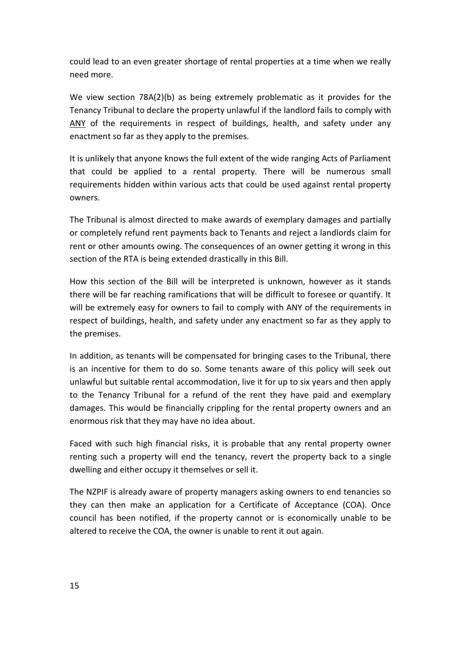could lead to an even greater shortage of rental properties at a time when we really need more.

We view section 78A(2)(b) as being extremely problematic as it provides for the Tenancy Tribunal to declare the property unlawful if the landlord fails to comply with ANY of the requirements in respect of buildings, health, and safety under any enactment so far as they apply to the premises.

It is unlikely that anyone knows the full extent of the wide ranging Acts of Parliament that could be applied to a rental property. There will be numerous small requirements hidden within various acts that could be used against rental property owners.

The Tribunal is almost directed to make awards of exemplary damages and partially or completely refund rent payments back to Tenants and reject a landlords claim for rent or other amounts owing. The consequences of an owner getting it wrong in this section of the RTA is being extended drastically in this Bill.

How this section of the Bill will be interpreted is unknown, however as it stands there will be far reaching ramifications that will be difficult to foresee or quantify. It will be extremely easy for owners to fail to comply with ANY of the requirements in respect of buildings, health, and safety under any enactment so far as they apply to the premises.

In addition, as tenants will be compensated for bringing cases to the Tribunal, there is an incentive for them to do so. Some tenants aware of this policy will seek out unlawful but suitable rental accommodation, live it for up to six years and then apply to the Tenancy Tribunal for a refund of the rent they have paid and exemplary damages. This would be financially crippling for the rental property owners and an enormous risk that they may have no idea about.

Faced with such high financial risks, it is probable that any rental property owner renting such a property will end the tenancy, revert the property back to a single dwelling and either occupy it themselves or sell it.

The NZPIF is already aware of property managers asking owners to end tenancies so they can then make an application for a Certificate of Acceptance (COA). Once council has been notified, if the property cannot or is economically unable to be altered to receive the COA, the owner is unable to rent it out again.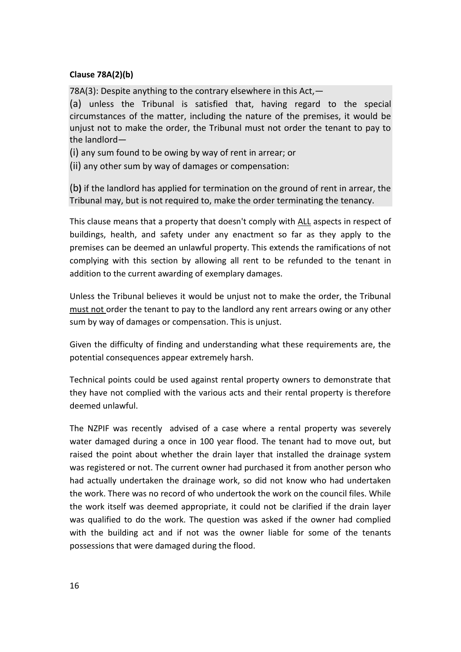#### **Clause 78A(2)(b)**

78A(3): Despite anything to the contrary elsewhere in this Act,—

(a) unless the Tribunal is satisfied that, having regard to the special circumstances of the matter, including the nature of the premises, it would be unjust not to make the order, the Tribunal must not order the tenant to pay to the landlord—

(i) any sum found to be owing by way of rent in arrear; or

(ii) any other sum by way of damages or compensation:

(b**)** if the landlord has applied for termination on the ground of rent in arrear, the Tribunal may, but is not required to, make the order terminating the tenancy.

This clause means that a property that doesn't comply with ALL aspects in respect of buildings, health, and safety under any enactment so far as they apply to the premises can be deemed an unlawful property. This extends the ramifications of not complying with this section by allowing all rent to be refunded to the tenant in addition to the current awarding of exemplary damages.

Unless the Tribunal believes it would be unjust not to make the order, the Tribunal must not order the tenant to pay to the landlord any rent arrears owing or any other sum by way of damages or compensation. This is unjust.

Given the difficulty of finding and understanding what these requirements are, the potential consequences appear extremely harsh.

Technical points could be used against rental property owners to demonstrate that they have not complied with the various acts and their rental property is therefore deemed unlawful.

The NZPIF was recently advised of a case where a rental property was severely water damaged during a once in 100 year flood. The tenant had to move out, but raised the point about whether the drain layer that installed the drainage system was registered or not. The current owner had purchased it from another person who had actually undertaken the drainage work, so did not know who had undertaken the work. There was no record of who undertook the work on the council files. While the work itself was deemed appropriate, it could not be clarified if the drain layer was qualified to do the work. The question was asked if the owner had complied with the building act and if not was the owner liable for some of the tenants possessions that were damaged during the flood.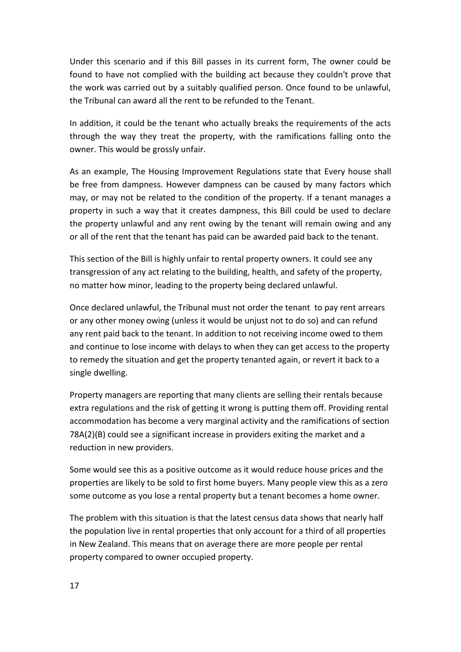Under this scenario and if this Bill passes in its current form, The owner could be found to have not complied with the building act because they couldn't prove that the work was carried out by a suitably qualified person. Once found to be unlawful, the Tribunal can award all the rent to be refunded to the Tenant.

In addition, it could be the tenant who actually breaks the requirements of the acts through the way they treat the property, with the ramifications falling onto the owner. This would be grossly unfair.

As an example, The Housing Improvement Regulations state that Every house shall be free from dampness. However dampness can be caused by many factors which may, or may not be related to the condition of the property. If a tenant manages a property in such a way that it creates dampness, this Bill could be used to declare the property unlawful and any rent owing by the tenant will remain owing and any or all of the rent that the tenant has paid can be awarded paid back to the tenant.

This section of the Bill is highly unfair to rental property owners. It could see any transgression of any act relating to the building, health, and safety of the property, no matter how minor, leading to the property being declared unlawful.

Once declared unlawful, the Tribunal must not order the tenant to pay rent arrears or any other money owing (unless it would be unjust not to do so) and can refund any rent paid back to the tenant. In addition to not receiving income owed to them and continue to lose income with delays to when they can get access to the property to remedy the situation and get the property tenanted again, or revert it back to a single dwelling.

Property managers are reporting that many clients are selling their rentals because extra regulations and the risk of getting it wrong is putting them off. Providing rental accommodation has become a very marginal activity and the ramifications of section 78A(2)(B) could see a significant increase in providers exiting the market and a reduction in new providers.

Some would see this as a positive outcome as it would reduce house prices and the properties are likely to be sold to first home buyers. Many people view this as a zero some outcome as you lose a rental property but a tenant becomes a home owner.

The problem with this situation is that the latest census data shows that nearly half the population live in rental properties that only account for a third of all properties in New Zealand. This means that on average there are more people per rental property compared to owner occupied property.